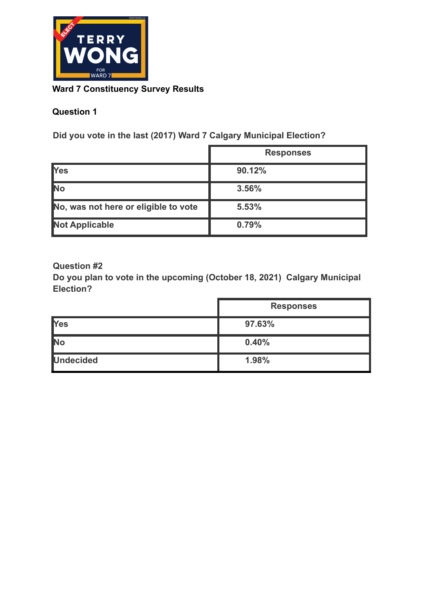

### **Ward 7 Constituency Survey Results**

# **Question 1**

**Did you vote in the last (2017) Ward 7 Calgary Municipal Election?**

|                                      | <b>Responses</b> |
|--------------------------------------|------------------|
| <b>T</b> es                          | 90.12%           |
| No                                   | 3.56%            |
| No, was not here or eligible to vote | 5.53%            |
| <b>Not Applicable</b>                | 0.79%            |

#### **Question #2**

**Do you plan to vote in the upcoming (October 18, 2021) Calgary Municipal Election?**

|                  | <b>Responses</b> |
|------------------|------------------|
| <b>T</b> Yes     | 97.63%           |
| <b>No</b>        | 0.40%            |
| <b>Undecided</b> | 1.98%            |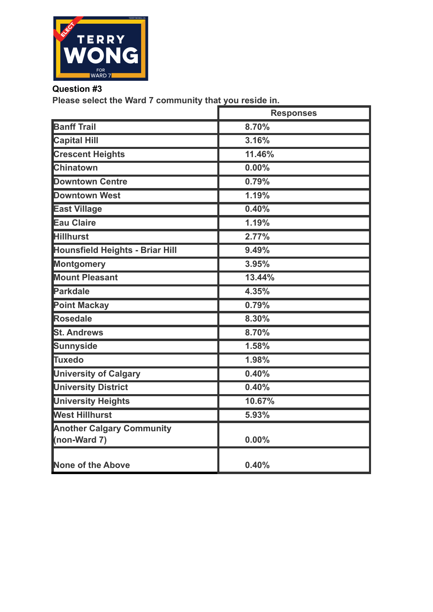

**Please select the Ward 7 community that you reside in.**

|                                                  | <b>Responses</b> |
|--------------------------------------------------|------------------|
| <b>Banff Trail</b>                               | 8.70%            |
| <b>Capital Hill</b>                              | 3.16%            |
| <b>Crescent Heights</b>                          | 11.46%           |
| <b>Chinatown</b>                                 | 0.00%            |
| <b>Downtown Centre</b>                           | 0.79%            |
| <b>Downtown West</b>                             | 1.19%            |
| <b>East Village</b>                              | 0.40%            |
| <b>Eau Claire</b>                                | 1.19%            |
| <b>Hillhurst</b>                                 | 2.77%            |
| <b>Hounsfield Heights - Briar Hill</b>           | 9.49%            |
| <b>Montgomery</b>                                | 3.95%            |
| <b>Mount Pleasant</b>                            | 13.44%           |
| Parkdale                                         | 4.35%            |
| <b>Point Mackay</b>                              | 0.79%            |
| Rosedale                                         | 8.30%            |
| <b>St. Andrews</b>                               | 8.70%            |
| Sunnyside                                        | 1.58%            |
| Tuxedo                                           | 1.98%            |
| <b>University of Calgary</b>                     | 0.40%            |
| <b>University District</b>                       | 0.40%            |
| <b>University Heights</b>                        | 10.67%           |
| <b>West Hillhurst</b>                            | 5.93%            |
| <b>Another Calgary Community</b><br>(non-Ward 7) | 0.00%            |
| None of the Above                                | 0.40%            |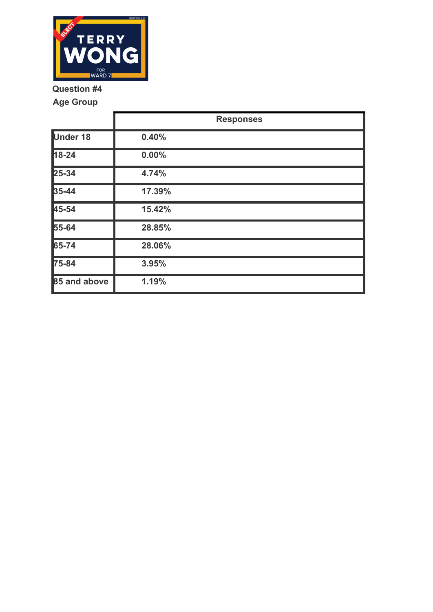

**Age Group**

|                 | <b>Responses</b> |
|-----------------|------------------|
| <b>Under 18</b> | 0.40%            |
| $18 - 24$       | 0.00%            |
| $25 - 34$       | 4.74%            |
| $35 - 44$       | 17.39%           |
| 45-54           | 15.42%           |
| 55-64           | 28.85%           |
| 65-74           | 28.06%           |
| 75-84           | 3.95%            |
| 85 and above    | 1.19%            |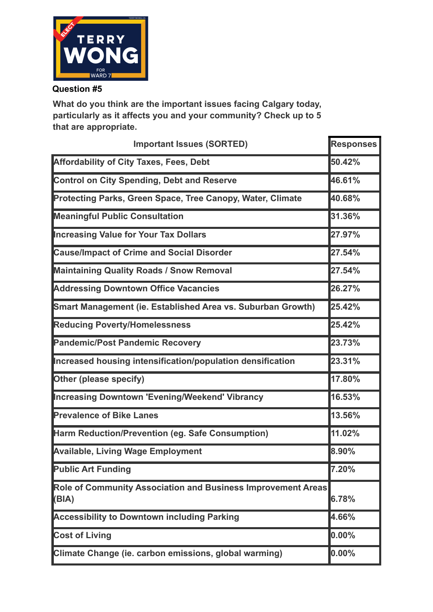

**What do you think are the important issues facing Calgary today, particularly as it affects you and your community? Check up to 5 that are appropriate.**

| <b>Important Issues (SORTED)</b>                                          | <b>Responses</b> |
|---------------------------------------------------------------------------|------------------|
| <b>Affordability of City Taxes, Fees, Debt</b>                            | 50.42%           |
| <b>Control on City Spending, Debt and Reserve</b>                         | 46.61%           |
| <b>Protecting Parks, Green Space, Tree Canopy, Water, Climate</b>         | 40.68%           |
| <b>Meaningful Public Consultation</b>                                     | 31.36%           |
| <b>Increasing Value for Your Tax Dollars</b>                              | 27.97%           |
| <b>Cause/Impact of Crime and Social Disorder</b>                          | 27.54%           |
| <b>Maintaining Quality Roads / Snow Removal</b>                           | 27.54%           |
| <b>Addressing Downtown Office Vacancies</b>                               | 26.27%           |
| Smart Management (ie. Established Area vs. Suburban Growth)               | 25.42%           |
| <b>Reducing Poverty/Homelessness</b>                                      | 25.42%           |
| <b>Pandemic/Post Pandemic Recovery</b>                                    | 23.73%           |
| Increased housing intensification/population densification                | 23.31%           |
| <b>Other (please specify)</b>                                             | 17.80%           |
| Increasing Downtown 'Evening/Weekend' Vibrancy                            | 16.53%           |
| <b>Prevalence of Bike Lanes</b>                                           | 13.56%           |
| Harm Reduction/Prevention (eg. Safe Consumption)                          | 11.02%           |
| <b>Available, Living Wage Employment</b>                                  | 8.90%            |
| <b>Public Art Funding</b>                                                 | 7.20%            |
| Role of Community Association and Business Improvement Areas<br>$ $ (BIA) | 6.78%            |
| <b>Accessibility to Downtown including Parking</b>                        | 4.66%            |
| <b>Cost of Living</b>                                                     | $0.00\%$         |
| Climate Change (ie. carbon emissions, global warming)                     | $0.00\%$         |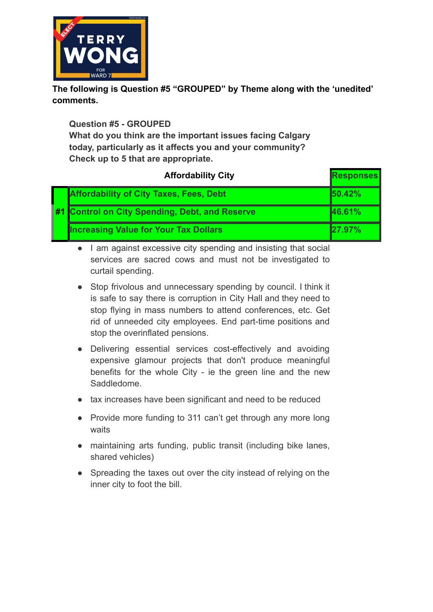

**The following is Question #5 "GROUPED" by Theme along with the 'unedited' comments.**

**Question #5 - GROUPED**

**What do you think are the important issues facing Calgary today, particularly as it affects you and your community? Check up to 5 that are appropriate.**

| <b>Affordability City</b> |                                              | <b>Responses</b>                               |        |
|---------------------------|----------------------------------------------|------------------------------------------------|--------|
|                           |                                              | <b>Affordability of City Taxes, Fees, Debt</b> | 50.42% |
|                           |                                              | #1 Control on City Spending, Debt, and Reserve | 46.61% |
|                           | <b>Increasing Value for Your Tax Dollars</b> | 27.97%                                         |        |

● I am against excessive city spending and insisting that social services are sacred cows and must not be investigated to curtail spending.

- Stop frivolous and unnecessary spending by council. I think it is safe to say there is corruption in City Hall and they need to stop flying in mass numbers to attend conferences, etc. Get rid of unneeded city employees. End part-time positions and stop the overinflated pensions.
- Delivering essential services cost-effectively and avoiding expensive glamour projects that don't produce meaningful benefits for the whole City - ie the green line and the new Saddledome.
- tax increases have been significant and need to be reduced
- Provide more funding to 311 can't get through any more long waits
- maintaining arts funding, public transit (including bike lanes, shared vehicles)
- Spreading the taxes out over the city instead of relying on the inner city to foot the bill.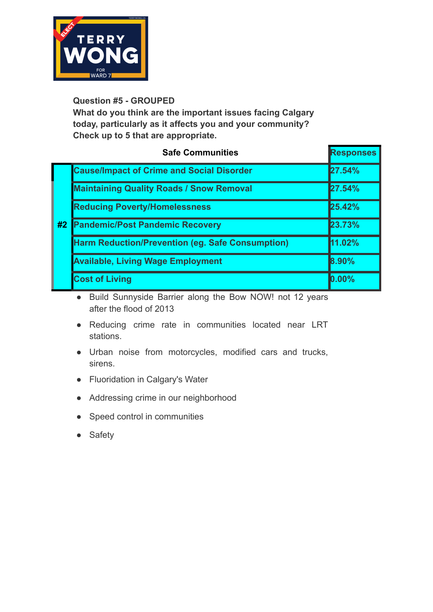

**What do you think are the important issues facing Calgary today, particularly as it affects you and your community? Check up to 5 that are appropriate.**

|    | <b>Safe Communities</b>                                 | <b>Responses</b> |
|----|---------------------------------------------------------|------------------|
|    | <b>Cause/Impact of Crime and Social Disorder</b>        | 27.54%           |
|    | <b>Maintaining Quality Roads / Snow Removal</b>         | 27.54%           |
| #2 | <b>Reducing Poverty/Homelessness</b>                    | 25.42%           |
|    | <b>Pandemic/Post Pandemic Recovery</b>                  | 23.73%           |
|    | <b>Harm Reduction/Prevention (eg. Safe Consumption)</b> | 11.02%           |
|    | <b>Available, Living Wage Employment</b>                | 8.90%            |
|    | <b>Cost of Living</b>                                   | $0.00\%$         |

● Build Sunnyside Barrier along the Bow NOW! not 12 years after the flood of 2013

- Reducing crime rate in communities located near LRT stations.
- Urban noise from motorcycles, modified cars and trucks, sirens.
- Fluoridation in Calgary's Water
- Addressing crime in our neighborhood
- Speed control in communities
- Safety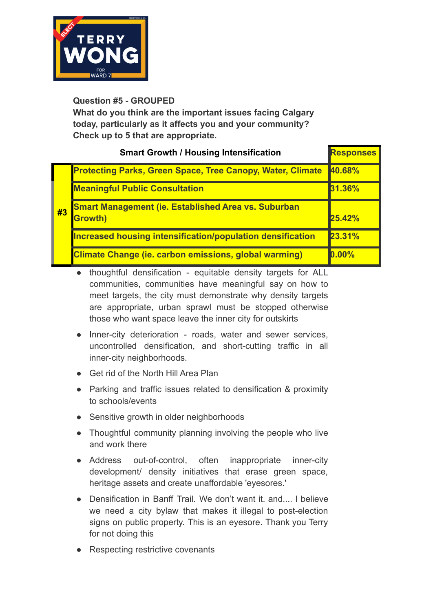

**What do you think are the important issues facing Calgary today, particularly as it affects you and your community? Check up to 5 that are appropriate.**

| <b>Smart Growth / Housing Intensification</b> |                                                                       | <b>Responses</b> |
|-----------------------------------------------|-----------------------------------------------------------------------|------------------|
| #3                                            | <b>Protecting Parks, Green Space, Tree Canopy, Water, Climate</b>     | 40.68%           |
|                                               | <b>Meaningful Public Consultation</b>                                 | 31.36%           |
|                                               | <b>Smart Management (ie. Established Area vs. Suburban</b><br>Growth) | 25.42%           |
|                                               | <b>Increased housing intensification/population densification</b>     | 23.31%           |
|                                               | <b>Climate Change (ie. carbon emissions, global warming)</b>          | $0.00\%$         |

- thoughtful densification equitable density targets for ALL communities, communities have meaningful say on how to meet targets, the city must demonstrate why density targets are appropriate, urban sprawl must be stopped otherwise those who want space leave the inner city for outskirts
- Inner-city deterioration roads, water and sewer services, uncontrolled densification, and short-cutting traffic in all inner-city neighborhoods.
- Get rid of the North Hill Area Plan
- Parking and traffic issues related to densification & proximity to schools/events
- Sensitive growth in older neighborhoods
- Thoughtful community planning involving the people who live and work there
- Address out-of-control, often inappropriate inner-city development/ density initiatives that erase green space, heritage assets and create unaffordable 'eyesores.'
- Densification in Banff Trail. We don't want it. and.... I believe we need a city bylaw that makes it illegal to post-election signs on public property. This is an eyesore. Thank you Terry for not doing this
- Respecting restrictive covenants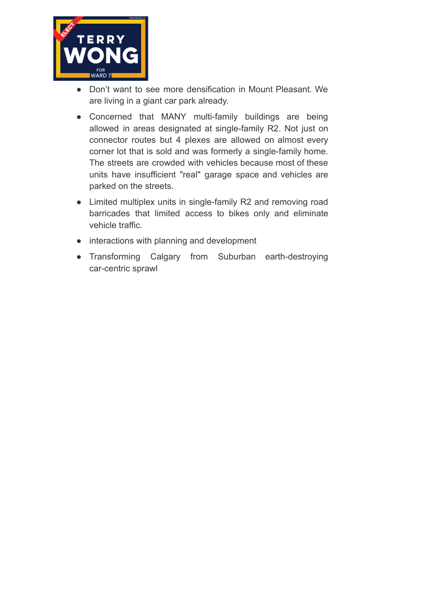

- Don't want to see more densification in Mount Pleasant. We are living in a giant car park already.
- Concerned that MANY multi-family buildings are being allowed in areas designated at single-family R2. Not just on connector routes but 4 plexes are allowed on almost every corner lot that is sold and was formerly a single-family home. The streets are crowded with vehicles because most of these units have insufficient "real" garage space and vehicles are parked on the streets.
- Limited multiplex units in single-family R2 and removing road barricades that limited access to bikes only and eliminate vehicle traffic.
- interactions with planning and development
- Transforming Calgary from Suburban earth-destroying car-centric sprawl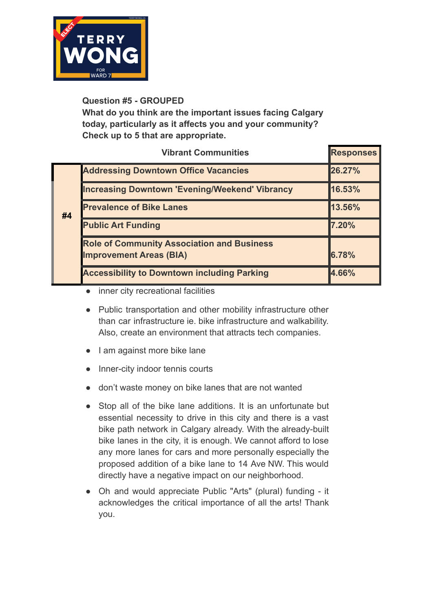

**What do you think are the important issues facing Calgary today, particularly as it affects you and your community? Check up to 5 that are appropriate.**

|    | <b>Vibrant Communities</b>                            | <b>Responses</b> |
|----|-------------------------------------------------------|------------------|
| #4 | <b>Addressing Downtown Office Vacancies</b>           | 26.27%           |
|    | <b>Increasing Downtown 'Evening/Weekend' Vibrancy</b> | 16.53%           |
|    | <b>Prevalence of Bike Lanes</b>                       | 13.56%           |
|    | <b>Public Art Funding</b>                             | 7.20%            |
|    | <b>Role of Community Association and Business</b>     |                  |
|    | <b>Improvement Areas (BIA)</b>                        | 6.78%            |
|    | <b>Accessibility to Downtown including Parking</b>    | 4.66%            |

- inner city recreational facilities
- Public transportation and other mobility infrastructure other than car infrastructure ie. bike infrastructure and walkability. Also, create an environment that attracts tech companies.
- I am against more bike lane
- Inner-city indoor tennis courts
- don't waste money on bike lanes that are not wanted
- Stop all of the bike lane additions. It is an unfortunate but essential necessity to drive in this city and there is a vast bike path network in Calgary already. With the already-built bike lanes in the city, it is enough. We cannot afford to lose any more lanes for cars and more personally especially the proposed addition of a bike lane to 14 Ave NW. This would directly have a negative impact on our neighborhood.
- Oh and would appreciate Public "Arts" (plural) funding it acknowledges the critical importance of all the arts! Thank you.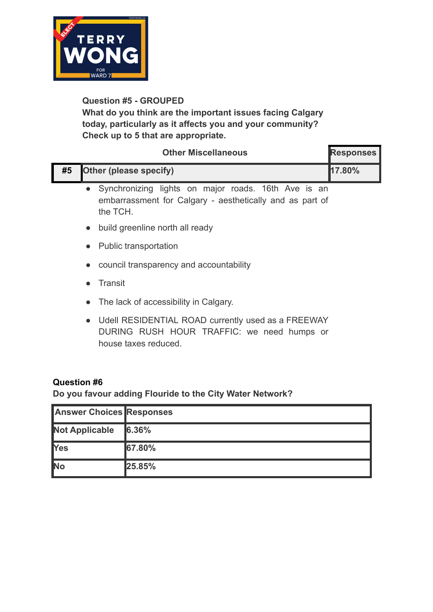

**What do you think are the important issues facing Calgary today, particularly as it affects you and your community? Check up to 5 that are appropriate.**

|    | <b>Other Miscellaneous</b>                                                                                                               | <b>Responses</b> |
|----|------------------------------------------------------------------------------------------------------------------------------------------|------------------|
| #5 | Other (please specify)                                                                                                                   | 17.80%           |
|    | Synchronizing lights on major roads. 16th Ave is an<br>$\bullet$<br>embarrassment for Calgary - aesthetically and as part of<br>the TCH. |                  |
|    | build greenline north all ready<br>$\bullet$                                                                                             |                  |
|    | <b>Public transportation</b><br>$\bullet$                                                                                                |                  |
|    | council transparency and accountability<br>$\bullet$                                                                                     |                  |
|    | Transit<br>$\bullet$                                                                                                                     |                  |
|    | The lack of accessibility in Calgary.<br>$\bullet$                                                                                       |                  |

● Udell RESIDENTIAL ROAD currently used as a FREEWAY DURING RUSH HOUR TRAFFIC: we need humps or house taxes reduced.

#### **Question #6**

**Do you favour adding Flouride to the City Water Network?**

| <b>Answer Choices Responses</b> |        |
|---------------------------------|--------|
| <b>Not Applicable</b>           | 6.36%  |
| <b>T</b> Yes                    | 67.80% |
| <b>No</b>                       | 25.85% |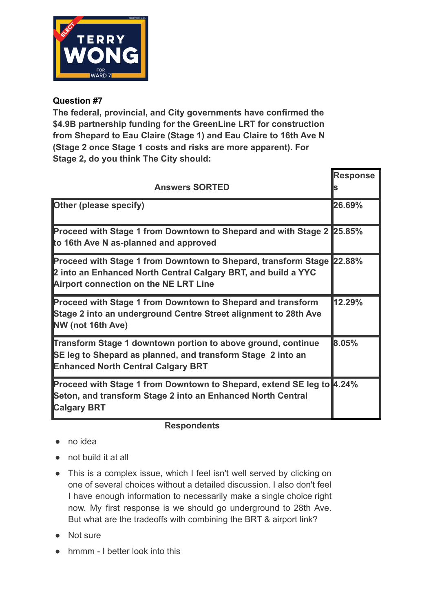

**The federal, provincial, and City governments have confirmed the \$4.9B partnership funding for the GreenLine LRT for construction from Shepard to Eau Claire (Stage 1) and Eau Claire to 16th Ave N (Stage 2 once Stage 1 costs and risks are more apparent). For Stage 2, do you think The City should:**

| <b>Response</b><br><b>Answers SORTED</b>                                                                                                                                               |               |
|----------------------------------------------------------------------------------------------------------------------------------------------------------------------------------------|---------------|
| <b>Other (please specify)</b>                                                                                                                                                          | 26.69%        |
| <b>Proceed with Stage 1 from Downtown to Shepard and with Stage 2</b><br>to 16th Ave N as-planned and approved                                                                         | <b>25.85%</b> |
| <b>Proceed with Stage 1 from Downtown to Shepard, transform Stage</b><br>2 into an Enhanced North Central Calgary BRT, and build a YYC<br><b>Airport connection on the NE LRT Line</b> | 22.88%        |
| <b>Proceed with Stage 1 from Downtown to Shepard and transform</b><br>Stage 2 into an underground Centre Street alignment to 28th Ave<br><b>NW</b> (not 16th Ave)                      | 12.29%        |
| <b>Transform Stage 1 downtown portion to above ground, continue</b><br>SE leg to Shepard as planned, and transform Stage 2 into an<br><b>Enhanced North Central Calgary BRT</b>        | 8.05%         |
| <b>Proceed with Stage 1 from Downtown to Shepard, extend SE leg to 4.24%</b><br>Seton, and transform Stage 2 into an Enhanced North Central<br><b>Calgary BRT</b>                      |               |

#### **Respondents**

- no idea
- not build it at all
- This is a complex issue, which I feel isn't well served by clicking on one of several choices without a detailed discussion. I also don't feel I have enough information to necessarily make a single choice right now. My first response is we should go underground to 28th Ave. But what are the tradeoffs with combining the BRT & airport link?
- Not sure
- hmmm I better look into this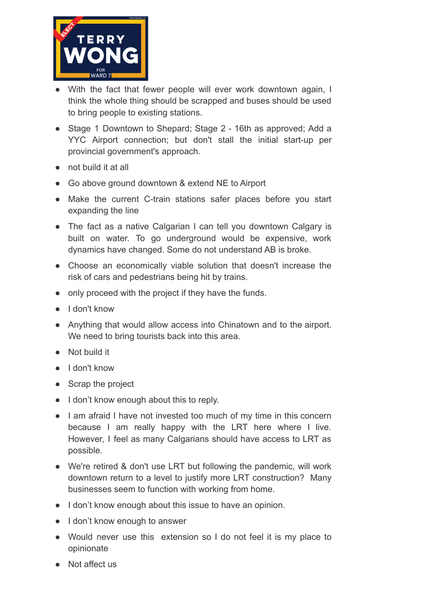

- With the fact that fewer people will ever work downtown again, I think the whole thing should be scrapped and buses should be used to bring people to existing stations.
- Stage 1 Downtown to Shepard; Stage 2 16th as approved; Add a YYC Airport connection; but don't stall the initial start-up per provincial government's approach.
- not build it at all
- Go above ground downtown & extend NE to Airport
- Make the current C-train stations safer places before you start expanding the line
- The fact as a native Calgarian I can tell you downtown Calgary is built on water. To go underground would be expensive, work dynamics have changed. Some do not understand AB is broke.
- Choose an economically viable solution that doesn't increase the risk of cars and pedestrians being hit by trains.
- only proceed with the project if they have the funds.
- I don't know
- Anything that would allow access into Chinatown and to the airport. We need to bring tourists back into this area.
- Not build it
- I don't know
- Scrap the project
- I don't know enough about this to reply.
- I am afraid I have not invested too much of my time in this concern because I am really happy with the LRT here where I live. However, I feel as many Calgarians should have access to LRT as possible.
- We're retired & don't use LRT but following the pandemic, will work downtown return to a level to justify more LRT construction? Many businesses seem to function with working from home.
- I don't know enough about this issue to have an opinion.
- I don't know enough to answer
- Would never use this extension so I do not feel it is my place to opinionate
- Not affect us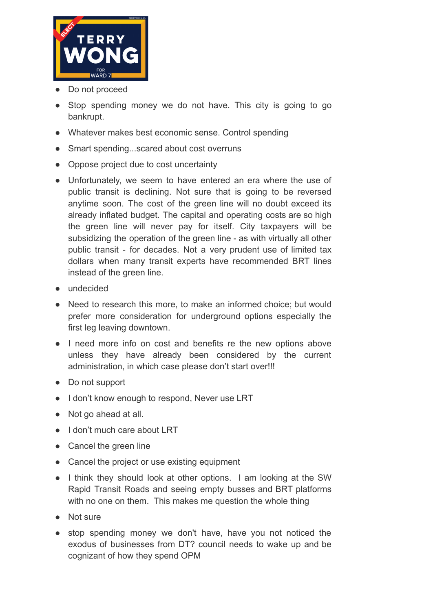

- Do not proceed
- Stop spending money we do not have. This city is going to go bankrupt.
- Whatever makes best economic sense. Control spending
- Smart spending...scared about cost overruns
- Oppose project due to cost uncertainty
- Unfortunately, we seem to have entered an era where the use of public transit is declining. Not sure that is going to be reversed anytime soon. The cost of the green line will no doubt exceed its already inflated budget. The capital and operating costs are so high the green line will never pay for itself. City taxpayers will be subsidizing the operation of the green line - as with virtually all other public transit - for decades. Not a very prudent use of limited tax dollars when many transit experts have recommended BRT lines instead of the green line.
- undecided
- Need to research this more, to make an informed choice; but would prefer more consideration for underground options especially the first leg leaving downtown.
- I need more info on cost and benefits re the new options above unless they have already been considered by the current administration, in which case please don't start over!!!
- Do not support
- I don't know enough to respond, Never use LRT
- Not go ahead at all.
- I don't much care about LRT
- Cancel the green line
- Cancel the project or use existing equipment
- I think they should look at other options. I am looking at the SW Rapid Transit Roads and seeing empty busses and BRT platforms with no one on them. This makes me question the whole thing
- Not sure
- stop spending money we don't have, have you not noticed the exodus of businesses from DT? council needs to wake up and be cognizant of how they spend OPM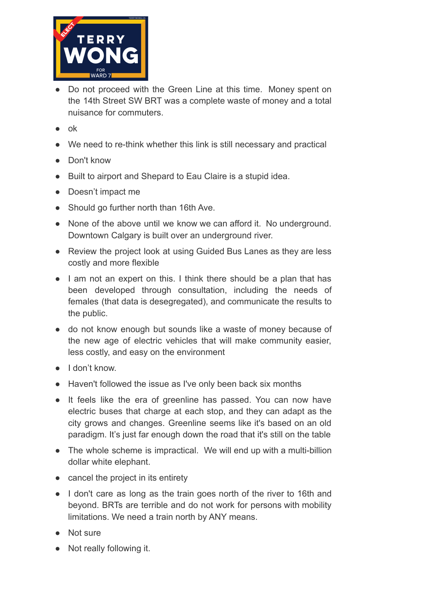

- Do not proceed with the Green Line at this time. Money spent on the 14th Street SW BRT was a complete waste of money and a total nuisance for commuters.
- ok
- We need to re-think whether this link is still necessary and practical
- Don't know
- Built to airport and Shepard to Eau Claire is a stupid idea.
- Doesn't impact me
- Should go further north than 16th Ave.
- None of the above until we know we can afford it. No underground. Downtown Calgary is built over an underground river.
- Review the project look at using Guided Bus Lanes as they are less costly and more flexible
- I am not an expert on this. I think there should be a plan that has been developed through consultation, including the needs of females (that data is desegregated), and communicate the results to the public.
- do not know enough but sounds like a waste of money because of the new age of electric vehicles that will make community easier, less costly, and easy on the environment
- I don't know.
- Haven't followed the issue as I've only been back six months
- It feels like the era of greenline has passed. You can now have electric buses that charge at each stop, and they can adapt as the city grows and changes. Greenline seems like it's based on an old paradigm. It's just far enough down the road that it's still on the table
- The whole scheme is impractical. We will end up with a multi-billion dollar white elephant.
- cancel the project in its entirety
- I don't care as long as the train goes north of the river to 16th and beyond. BRTs are terrible and do not work for persons with mobility limitations. We need a train north by ANY means.
- Not sure
- Not really following it.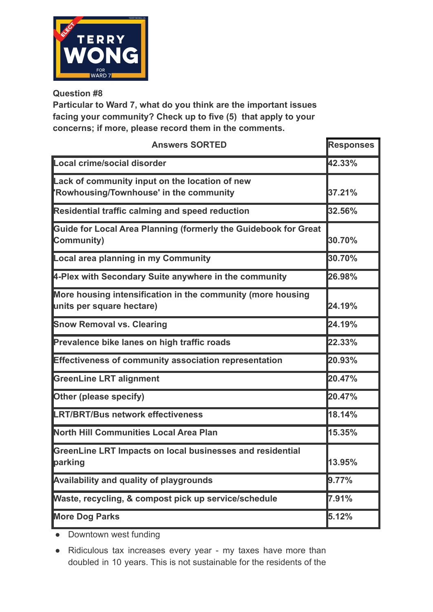

**Particular to Ward 7, what do you think are the important issues facing your community? Check up to five (5) that apply to your concerns; if more, please record them in the comments.**

| <b>Answers SORTED</b>                                                                     | <b>Responses</b> |
|-------------------------------------------------------------------------------------------|------------------|
| Local crime/social disorder                                                               | 42.33%           |
| Lack of community input on the location of new<br>'Rowhousing/Townhouse' in the community | 37.21%           |
| Residential traffic calming and speed reduction                                           | 32.56%           |
| Guide for Local Area Planning (formerly the Guidebook for Great<br>Community)             | 30.70%           |
| Local area planning in my Community                                                       | 30.70%           |
| 4-Plex with Secondary Suite anywhere in the community                                     | 26.98%           |
| More housing intensification in the community (more housing<br>units per square hectare)  | 24.19%           |
| <b>Snow Removal vs. Clearing</b>                                                          | 24.19%           |
| Prevalence bike lanes on high traffic roads                                               | 22.33%           |
| <b>Effectiveness of community association representation</b>                              | 20.93%           |
| <b>GreenLine LRT alignment</b>                                                            | 20.47%           |
| <b>Other (please specify)</b>                                                             | 20.47%           |
| <b>LRT/BRT/Bus network effectiveness</b>                                                  | 18.14%           |
| North Hill Communities Local Area Plan                                                    | 15.35%           |
| GreenLine LRT Impacts on local businesses and residential<br>parking                      | 13.95%           |
| <b>Availability and quality of playgrounds</b>                                            | 9.77%            |
| Waste, recycling, & compost pick up service/schedule                                      | 7.91%            |
| <b>More Dog Parks</b>                                                                     | 5.12%            |

• Downtown west funding

● Ridiculous tax increases every year - my taxes have more than doubled in 10 years. This is not sustainable for the residents of the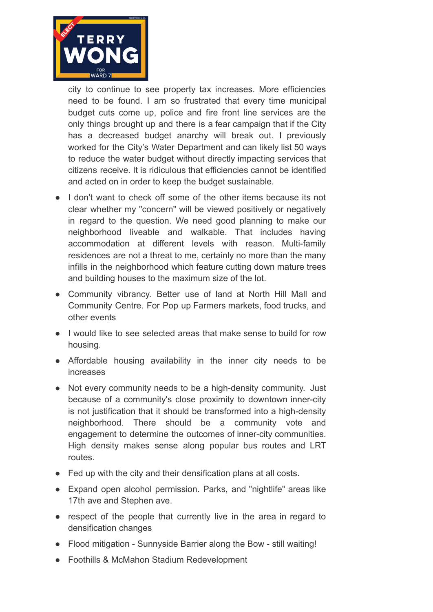

city to continue to see property tax increases. More efficiencies need to be found. I am so frustrated that every time municipal budget cuts come up, police and fire front line services are the only things brought up and there is a fear campaign that if the City has a decreased budget anarchy will break out. I previously worked for the City's Water Department and can likely list 50 ways to reduce the water budget without directly impacting services that citizens receive. It is ridiculous that efficiencies cannot be identified and acted on in order to keep the budget sustainable.

- I don't want to check off some of the other items because its not clear whether my "concern" will be viewed positively or negatively in regard to the question. We need good planning to make our neighborhood liveable and walkable. That includes having accommodation at different levels with reason. Multi-family residences are not a threat to me, certainly no more than the many infills in the neighborhood which feature cutting down mature trees and building houses to the maximum size of the lot.
- Community vibrancy. Better use of land at North Hill Mall and Community Centre. For Pop up Farmers markets, food trucks, and other events
- I would like to see selected areas that make sense to build for row housing.
- Affordable housing availability in the inner city needs to be increases
- Not every community needs to be a high-density community. Just because of a community's close proximity to downtown inner-city is not justification that it should be transformed into a high-density neighborhood. There should be a community vote and engagement to determine the outcomes of inner-city communities. High density makes sense along popular bus routes and LRT routes.
- Fed up with the city and their densification plans at all costs.
- Expand open alcohol permission. Parks, and "nightlife" areas like 17th ave and Stephen ave.
- respect of the people that currently live in the area in regard to densification changes
- Flood mitigation Sunnyside Barrier along the Bow still waiting!
- Foothills & McMahon Stadium Redevelopment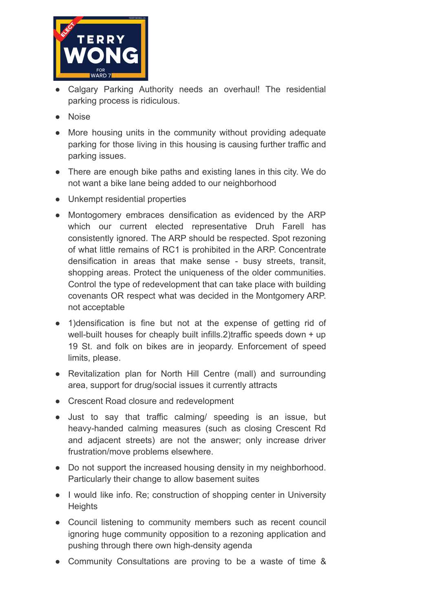

- Calgary Parking Authority needs an overhaul! The residential parking process is ridiculous.
- Noise
- More housing units in the community without providing adequate parking for those living in this housing is causing further traffic and parking issues.
- There are enough bike paths and existing lanes in this city. We do not want a bike lane being added to our neighborhood
- Unkempt residential properties
- Montogomery embraces densification as evidenced by the ARP which our current elected representative Druh Farell has consistently ignored. The ARP should be respected. Spot rezoning of what little remains of RC1 is prohibited in the ARP. Concentrate densification in areas that make sense - busy streets, transit, shopping areas. Protect the uniqueness of the older communities. Control the type of redevelopment that can take place with building covenants OR respect what was decided in the Montgomery ARP. not acceptable
- 1)densification is fine but not at the expense of getting rid of well-built houses for cheaply built infills.2)traffic speeds down + up 19 St. and folk on bikes are in jeopardy. Enforcement of speed limits, please.
- Revitalization plan for North Hill Centre (mall) and surrounding area, support for drug/social issues it currently attracts
- Crescent Road closure and redevelopment
- Just to say that traffic calming/ speeding is an issue, but heavy-handed calming measures (such as closing Crescent Rd and adjacent streets) are not the answer; only increase driver frustration/move problems elsewhere.
- Do not support the increased housing density in my neighborhood. Particularly their change to allow basement suites
- I would like info. Re; construction of shopping center in University **Heights**
- Council listening to community members such as recent council ignoring huge community opposition to a rezoning application and pushing through there own high-density agenda
- Community Consultations are proving to be a waste of time &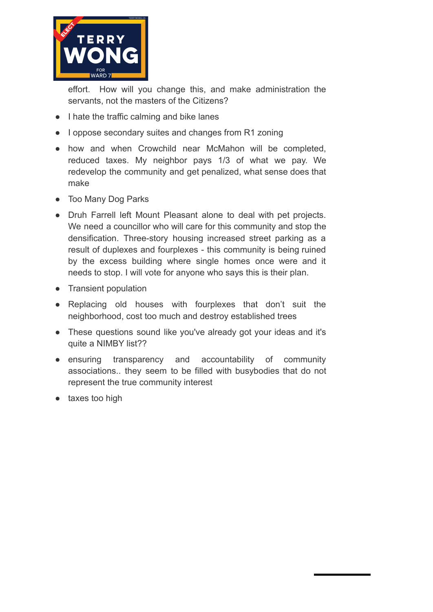

effort. How will you change this, and make administration the servants, not the masters of the Citizens?

- I hate the traffic calming and bike lanes
- I oppose secondary suites and changes from R1 zoning
- how and when Crowchild near McMahon will be completed, reduced taxes. My neighbor pays 1/3 of what we pay. We redevelop the community and get penalized, what sense does that make
- Too Many Dog Parks
- Druh Farrell left Mount Pleasant alone to deal with pet projects. We need a councillor who will care for this community and stop the densification. Three-story housing increased street parking as a result of duplexes and fourplexes - this community is being ruined by the excess building where single homes once were and it needs to stop. I will vote for anyone who says this is their plan.
- Transient population
- Replacing old houses with fourplexes that don't suit the neighborhood, cost too much and destroy established trees
- These questions sound like you've already got your ideas and it's quite a NIMBY list??
- ensuring transparency and accountability of community associations.. they seem to be filled with busybodies that do not represent the true community interest
- taxes too high